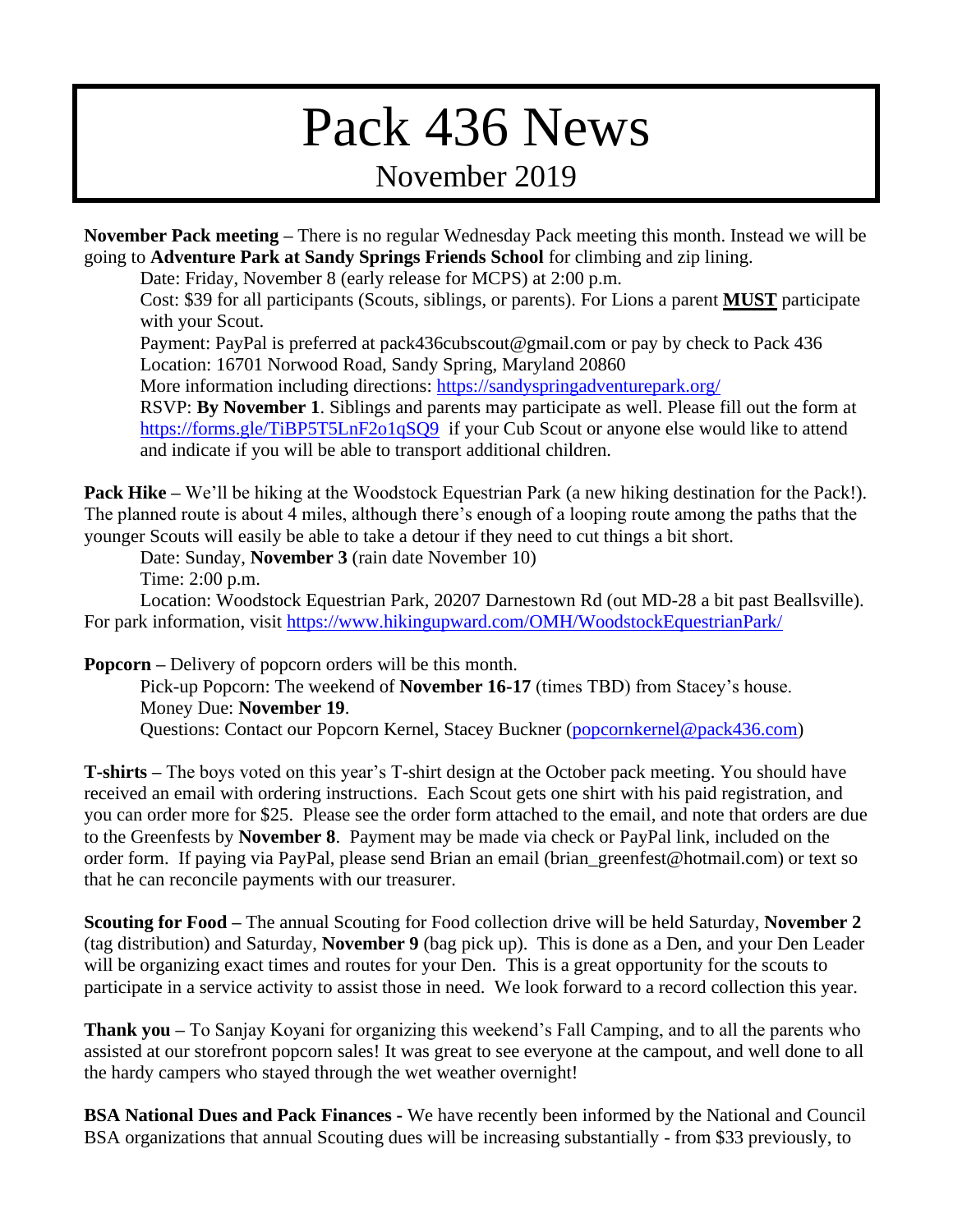## Pack 436 News November 2019

**November Pack meeting –** There is no regular Wednesday Pack meeting this month. Instead we will be going to **Adventure Park at Sandy Springs Friends School** for climbing and zip lining.

Date: Friday, November 8 (early release for MCPS) at 2:00 p.m.

Cost: \$39 for all participants (Scouts, siblings, or parents). For Lions a parent **MUST** participate with your Scout.

Payment: PayPal is preferred at pack436cubscout@gmail.com or pay by check to Pack 436 Location: 16701 Norwood Road, Sandy Spring, Maryland 20860

More information including directions:<https://sandyspringadventurepark.org/>

RSVP: **By November 1**. Siblings and parents may participate as well. Please fill out the form at <https://forms.gle/TiBP5T5LnF2o1qSQ9>if your Cub Scout or anyone else would like to attend and indicate if you will be able to transport additional children.

**Pack Hike –** We'll be hiking at the Woodstock Equestrian Park (a new hiking destination for the Pack!). The planned route is about 4 miles, although there's enough of a looping route among the paths that the younger Scouts will easily be able to take a detour if they need to cut things a bit short.

Date: Sunday, **November 3** (rain date November 10)

Time: 2:00 p.m.

Location: Woodstock Equestrian Park, 20207 Darnestown Rd (out MD-28 a bit past Beallsville). For park information, visit <https://www.hikingupward.com/OMH/WoodstockEquestrianPark/>

**Popcorn –** Delivery of popcorn orders will be this month.

Pick-up Popcorn: The weekend of **November 16-17** (times TBD) from Stacey's house. Money Due: **November 19**.

Questions: Contact our Popcorn Kernel, Stacey Buckner [\(popcornkernel@pack436.com\)](mailto:popcornkernel@pack436.com)

**T-shirts –** The boys voted on this year's T-shirt design at the October pack meeting. You should have received an email with ordering instructions. Each Scout gets one shirt with his paid registration, and you can order more for \$25. Please see the order form attached to the email, and note that orders are due to the Greenfests by **November 8**. Payment may be made via check or PayPal link, included on the order form. If paying via PayPal, please send Brian an email (brian\_greenfest@hotmail.com) or text so that he can reconcile payments with our treasurer.

**Scouting for Food –** The annual Scouting for Food collection drive will be held Saturday, **November 2** (tag distribution) and Saturday, **November 9** (bag pick up). This is done as a Den, and your Den Leader will be organizing exact times and routes for your Den. This is a great opportunity for the scouts to participate in a service activity to assist those in need. We look forward to a record collection this year.

**Thank you –** To Sanjay Koyani for organizing this weekend's Fall Camping, and to all the parents who assisted at our storefront popcorn sales! It was great to see everyone at the campout, and well done to all the hardy campers who stayed through the wet weather overnight!

**BSA National Dues and Pack Finances -** We have recently been informed by the National and Council BSA organizations that annual Scouting dues will be increasing substantially - from \$33 previously, to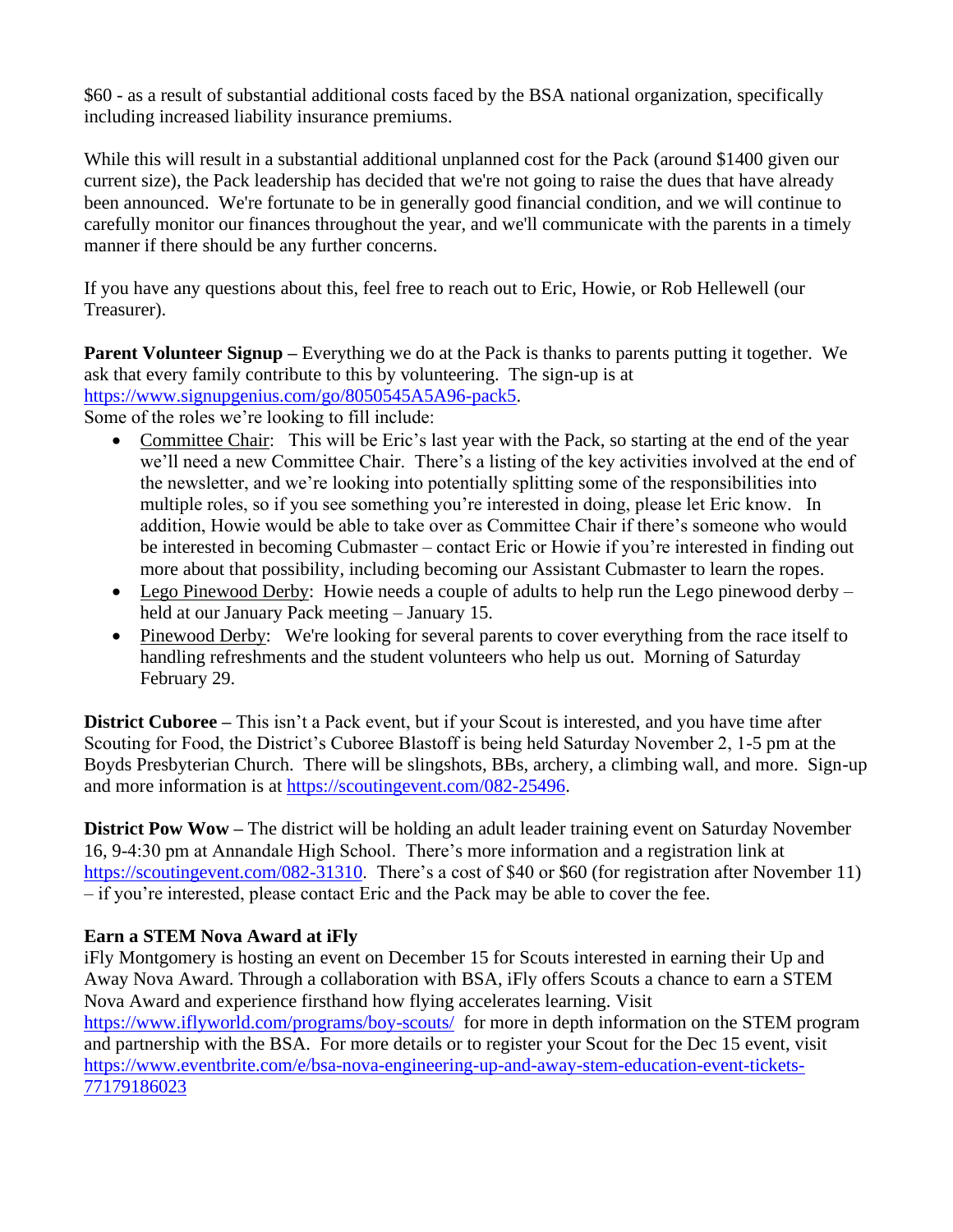\$60 - as a result of substantial additional costs faced by the BSA national organization, specifically including increased liability insurance premiums.

While this will result in a substantial additional unplanned cost for the Pack (around \$1400 given our current size), the Pack leadership has decided that we're not going to raise the dues that have already been announced. We're fortunate to be in generally good financial condition, and we will continue to carefully monitor our finances throughout the year, and we'll communicate with the parents in a timely manner if there should be any further concerns.

If you have any questions about this, feel free to reach out to Eric, Howie, or Rob Hellewell (our Treasurer).

**Parent Volunteer Signup** – Everything we do at the Pack is thanks to parents putting it together. We ask that every family contribute to this by volunteering. The sign-up is at [https://www.signupgenius.com/go/8050545A5A96-pack5.](https://www.signupgenius.com/go/8050545A5A96-pack5)

Some of the roles we're looking to fill include:

- Committee Chair: This will be Eric's last year with the Pack, so starting at the end of the year we'll need a new Committee Chair. There's a listing of the key activities involved at the end of the newsletter, and we're looking into potentially splitting some of the responsibilities into multiple roles, so if you see something you're interested in doing, please let Eric know. In addition, Howie would be able to take over as Committee Chair if there's someone who would be interested in becoming Cubmaster – contact Eric or Howie if you're interested in finding out more about that possibility, including becoming our Assistant Cubmaster to learn the ropes.
- Lego Pinewood Derby: Howie needs a couple of adults to help run the Lego pinewood derby held at our January Pack meeting – January 15.
- Pinewood Derby: We're looking for several parents to cover everything from the race itself to handling refreshments and the student volunteers who help us out. Morning of Saturday February 29.

**District Cuboree –** This isn't a Pack event, but if your Scout is interested, and you have time after Scouting for Food, the District's Cuboree Blastoff is being held Saturday November 2, 1-5 pm at the Boyds Presbyterian Church. There will be slingshots, BBs, archery, a climbing wall, and more. Sign-up and more information is at [https://scoutingevent.com/082-25496.](https://scoutingevent.com/082-25496)

**District Pow Wow –** The district will be holding an adult leader training event on Saturday November 16, 9-4:30 pm at Annandale High School. There's more information and a registration link at [https://scoutingevent.com/082-31310.](https://scoutingevent.com/082-31310) There's a cost of \$40 or \$60 (for registration after November 11) – if you're interested, please contact Eric and the Pack may be able to cover the fee.

## **Earn a STEM Nova Award at iFly**

iFly Montgomery is hosting an event on December 15 for Scouts interested in earning their Up and Away Nova Award. Through a collaboration with BSA, iFly offers Scouts a chance to earn a STEM Nova Award and experience firsthand how flying accelerates learning. Visit <https://www.iflyworld.com/programs/boy-scouts/>for more in depth information on the STEM program and partnership with the BSA. For more details or to register your Scout for the Dec 15 event, visit [https://www.eventbrite.com/e/bsa-nova-engineering-up-and-away-stem-education-event-tickets-](https://www.eventbrite.com/e/bsa-nova-engineering-up-and-away-stem-education-event-tickets-77179186023)[77179186023](https://www.eventbrite.com/e/bsa-nova-engineering-up-and-away-stem-education-event-tickets-77179186023)